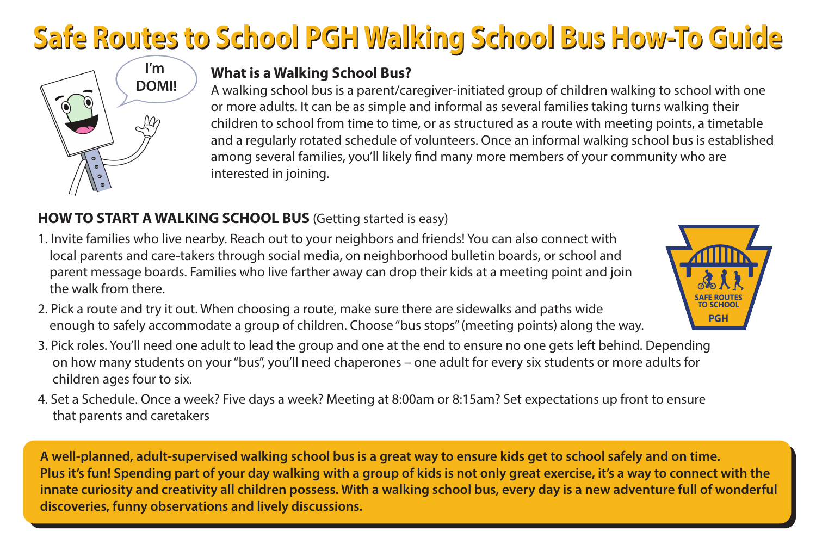# **Safe Routes to School PGH Walking School Bus How-To Guide Safe Routes to School PGH Walking School Bus How-To Guide**



#### **What is a Walking School Bus?**

A walking school bus is a parent/caregiver-initiated group of children walking to school with one or more adults. It can be as simple and informal as several families taking turns walking their children to school from time to time, or as structured as a route with meeting points, a timetable and a regularly rotated schedule of volunteers. Once an informal walking school bus is established among several families, you'll likely find many more members of your community who are interested in joining.

#### **HOW TO START A WALKING SCHOOL BUS** (Getting started is easy)

- 1. Invite families who live nearby. Reach out to your neighbors and friends! You can also connect with local parents and care-takers through social media, on neighborhood bulletin boards, or school and parent message boards. Families who live farther away can drop their kids at a meeting point and join the walk from there.
- 2. Pick a route and try it out. When choosing a route, make sure there are sidewalks and paths wide enough to safely accommodate a group of children. Choose "bus stops" (meeting points) along the way.
- 3. Pick roles. You'll need one adult to lead the group and one at the end to ensure no one gets left behind. Depending on how many students on your "bus", you'll need chaperones – one adult for every six students or more adults for children ages four to six.
- 4. Set a Schedule. Once a week? Five days a week? Meeting at 8:00am or 8:15am? Set expectations up front to ensure that parents and caretakers

**A well-planned, adult-supervised walking school bus is a great way to ensure kids get to school safely and on time. Plus it's fun! Spending part of your day walking with a group of kids is not only great exercise, it's a way to connect with the innate curiosity and creativity all children possess. With a walking school bus, every day is a new adventure full of wonderful discoveries, funny observations and lively discussions.**